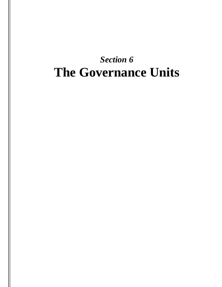# *Section 6* **The Governance Units**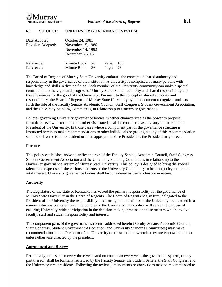

## **6.1 SUBJECT: UNIVERSITY GOVERNANCE SYSTEM**

| Date Adopted:<br>Revision Adopted: | October 24, 1981<br>November 15, 1986<br>November 14, 1992<br>December 6, 2002 |  |       |     |  |
|------------------------------------|--------------------------------------------------------------------------------|--|-------|-----|--|
| Reference:                         | Minute Book: 26                                                                |  | Page: | 103 |  |
| Reference:                         | Minute Book: 36                                                                |  | Page: | 23  |  |

The Board of Regents of Murray State University endorses the concept of shared authority and responsibility in the governance of the institution. A university is comprised of many persons with knowledge and skills in diverse fields. Each member of the University community can make a special contribution to the vigor and progress of Murray State. Shared authority and shared responsibility tap these resources for the good of the University. Pursuant to the concept of shared authority and responsibility, the Board of Regents of Murray State University by this document recognizes and sets forth the role of the Faculty Senate, Academic Council, Staff Congress, Student Government Association, and the University Standing Committees, in relationship to University governance.

Policies governing University governance bodies, whether characterized as the power to propose, formulate, review, determine or as otherwise stated, shall be considered as advisory in nature to the President of the University. In those cases where a component part of the governance structure is instructed herein to make recommendations to other individuals or groups, a copy of this recommendation shall be delivered to the President or to an appropriate Vice President as the President may direct.

#### **Purpose**

This policy establishes and/or clarifies the role of the Faculty Senate, Academic Council, Staff Congress, Student Government Association and the University Standing Committees in relationship to the University governance system of Murray State University. This policy is designed to bring the special talents and expertise of the various elements of the University Community to bear on policy matters of vital interest. University governance bodies shall be considered as being advisory in nature.

#### **Authority**

The Legislature of the state of Kentucky has vested the primary responsibility for the governance of Murray State University in the Board of Regents. The Board of Regents has, in turn, delegated to the President of the University the responsibility of ensuring that the affairs of the University are handled in a manner which is consistent with the policies of the University. This policy will serve the purpose of ensuring University-wide participation in the decision-making process on those matters which involve faculty, staff and student responsibility and interest.

The component parts of the governance structure addressed herein (Faculty Senate, Academic Council, Staff Congress, Student Government Association, and University Standing Committees) may make recommendations to the President of the University on those matters wherein they are empowered to act unless otherwise directed by the president.

#### **Amendment and Review**

Periodically, no less than every three years and no more than every year, the governance system, or any part thereof, shall be formally reviewed by the Faculty Senate, the Student Senate, the Staff Congress, and the University vice presidents. Following the review, amendments or corrections may be recommended to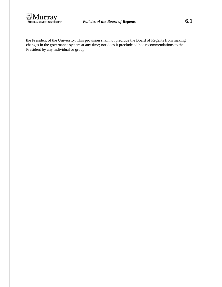

the President of the University. This provision shall not preclude the Board of Regents from making changes in the governance system at any time; nor does it preclude ad hoc recommendations to the President by any individual or group.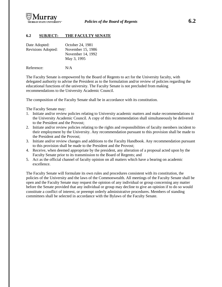

## **6.2 SUBJECT: THE FACULTY SENATE**

| Date Adopted:      | October 24, 1981  |
|--------------------|-------------------|
| Revisions Adopted: | November 15, 1986 |
|                    | November 14, 1992 |
|                    | May 3, 1995       |
|                    |                   |

Reference: N/A

The Faculty Senate is empowered by the Board of Regents to act for the University faculty, with delegated authority to advise the President as to the formulation and/or review of policies regarding the educational functions of the university. The Faculty Senate is not precluded from making recommendations to the University Academic Council.

The composition of the Faculty Senate shall be in accordance with its constitution.

The Faculty Senate may:

- 1. Initiate and/or review policies relating to University academic matters and make recommendations to the University Academic Council. A copy of this recommendation shall simultaneously be delivered to the President and the Provost;
- 2. Initiate and/or review policies relating to the rights and responsibilities of faculty members incident to their employment by the University. Any recommendation pursuant to this provision shall be made to the President and the Provost;
- 3. Initiate and/or review changes and additions to the Faculty Handbook. Any recommendation pursuant to this provision shall be made to the President and the Provost;
- 4. Receive, when deemed appropriate by the president, any alteration of a proposal acted upon by the Faculty Senate prior to its transmission to the Board of Regents; and
- 5. Act as the official channel of faculty opinion on all matters which have a bearing on academic excellence.

The Faculty Senate will formulate its own rules and procedures consistent with its constitution, the policies of the University and the laws of the Commonwealth. All meetings of the Faculty Senate shall be open and the Faculty Senate may request the opinion of any individual or group concerning any matter before the Senate provided that any individual or group may decline to give an opinion if to do so would constitute a conflict of interest, or preempt orderly administrative procedures. Members of standing committees shall be selected in accordance with the Bylaws of the Faculty Senate.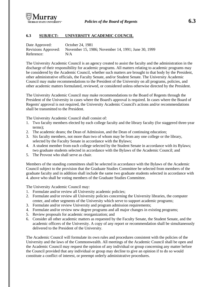

# **6.3 SUBJECT: UNIVERSITY ACADEMIC COUNCIL**

| Date Approved:      | October 24, 1981                                    |
|---------------------|-----------------------------------------------------|
| Revisions Approved: | November 15, 1986; November 14, 1991; June 30, 1999 |
| Reference:          | N/A                                                 |

The University Academic Council is an agency created to assist the faculty and the administration in the discharge of their responsibility for academic programs. All matters relating to academic programs may be considered by the Academic Council, whether such matters are brought to that body by the President, other administrative officials, the Faculty Senate, and/or Student Senate. The University Academic Council may make recommendations to the President of the University on all programs, policies, and other academic matters formulated, reviewed, or considered unless otherwise directed by the President.

The University Academic Council may make recommendations to the Board of Regents through the President of the University in cases where the Board's approval is required. In cases where the Board of Regents' approval is not required, the University Academic Council's actions and/or recommendations shall be transmitted to the President.

The University Academic Council shall consist of:

- 1. Two faculty members elected by each college faculty and the library faculty (for staggered three-year terms);
- 2. The academic deans; the Dean of Admission, and the Dean of continuing education;
- 3. Six faculty members, not more than two of whom may be from any one college or the library, selected by the Faculty Senate in accordance with the Bylaws;
- 4. A student member from each college selected by the Student Senate in accordance with its Bylaws; two graduate students selected in accordance with the Bylaws of the Academic Council; and
- 5. The Provost who shall serve as chair.

Members of the standing committees shall be selected in accordance with the Bylaws of the Academic Council subject to the provision that the Graduate Studies Committee be selected from members of the graduate faculty and in addition shall include the same two graduate students selected in accordance with 4. above who shall be voting members of the Graduate Studies Committee.

The University Academic Council may:

- 1. Formulate and/or review all University academic policies;
- 2. Formulate and/or review all University policies concerning the University libraries, the computer center, and other segments of the University which serve to support academic programs;
- 3. Formulate and/or review University and program admission requirements;
- 4. Formulate and/or review new degree programs and all major changes in existing programs;
- 5. Review proposals for academic reorganization; and
- 6. Consider all other academic matters as requested by the Faculty Senate, the Student Senate, and the academic officers of the University. A copy of any report or recommendation shall be simultaneously delivered to the President of the University.

The Academic Council will formulate its own rules and procedures consistent with the policies of the University and the laws of the Commonwealth. All meetings of the Academic Council shall be open and the Academic Council may request the opinion of any individual or group concerning any matter before the Council provided that any individual or group may decline to give an opinion if to do so would constitute a conflict of interest, or preempt orderly administrative procedures.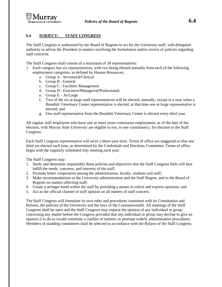

# **6.4 SUBJECT: STAFF CONGRESS**

The Staff Congress is authorized by the Board of Regents to act for the University staff, with delegated authority to advise the President in matters involving the formulation and/or review of policies regarding staff concerns.

The Staff Congress shall consist of a maximum of 30 representatives:

- 1. Each category has six representatives, with two being elected annually from each of the following employment categories, as defined by Human Resources;
	- a. Group A Secretarial/Clerical
	- b. Group B General
	- c. Group C Facilities Management
	- d. Group D Executive/Managerial/Professional;
	- e. Group  $E At$ -Large
	- f. Two of the six at-large staff representatives will be elected, annually, except in a year when a Breathitt Veterinary Center representative is elected; at that time one at-large representative is elected; and
	- g. One staff representative from the Breathitt Veterinary Center is elected every third year.

All regular staff employees who have one or more years continuous employment, as of the date of the election, with Murray State University are eligible to run, in one constituency, for election to the Staff Congress.

Each Staff Congress representative will serve a three-year term. Terms of office are staggered so that one third are elected each year, as determined by the Credentials and Elections Committee. Terms of office begin with the regularly scheduled July meeting each year.

The Staff Congress may:

- 1. Study and determine responsibly those policies and objectives that the Staff Congress feels will best fulfill the needs. concerns, and interests of the staff;
- 2. Promote better cooperation among the administration, faculty, students and staff;
- 3. Make recommendations to the University administration and the Staff Regent, and to the Board of Regents on matters affecting staff;
- 4. Create a stronger bond within the staff by providing a means to solicit and express opinions; and
- 5. Act as the official channel of staff opinion on all matters of staff concern.

The Staff Congress will formulate its own rules and procedures consistent with its Constitution and Bylaws, the policies of the University and the laws of the Commonwealth. All meetings of the Staff Congress shall be open and the Staff Congress may request the opinion of any individual or group concerning any matter before the Congress provided that any individual or group may decline to give an opinion if to do so would constitute a conflict of interest, or preempt orderly administrative procedures. Members of standing committees shall be selected in accordance with the Bylaws of the Staff Congress.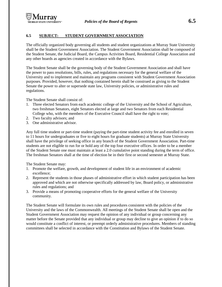# **6.5 SUBJECT: STUDENT GOVERNMENT ASSOCIATION**

The officially organized body governing all students and student organizations at Murray State University shall be the Student Government Association. The Student Government Association shall be composed of the Student Senate, the Judicial Board, the Campus Activities Board, Residential College Association and any other boards as agencies created in accordance with the Bylaws.

The Student Senate shall be the governing body of the Student Government Association and shall have the power to pass resolutions, bills, rules, and regulations necessary for the general welfare of the University and to implement and maintain any programs consistent with Student Government Association purposes. Provided, however, that nothing contained herein shall be construed as giving to the Student Senate the power to alter or supersede state law, University policies, or administrative rules and regulations.

The Student Senate shall consist of:

- 1. Three elected Senators from each academic college of the University and the School of Agriculture, two freshman Senators, eight Senators elected at large and two Senators from each Residential College who, with the members of the Executive Council shall have the right to vote;
- 2. Two faculty advisors; and
- 3. One administrative advisor.

Any full time student or part-time student (paying the part-time student activity fee and enrolled in seven to 11 hours for undergraduates or five to eight hours for graduate students) at Murray State University shall have the privilege of seeking office in any branch of the Student Government Association. Part-time students are not eligible to run for or hold any of the top four executive offices. In order to be a member of the Student Senate one must maintain at least a 2.0 cumulative point standing during the term of office. The freshman Senators shall at the time of election be in their first or second semester at Murray State.

The Student Senate may:

- 1. Promote the welfare, growth, and development of student life in an environment of academic excellence;
- 2. Represent the students in those phases of administrative effort in which student participation has been approved and which are not otherwise specifically addressed by law, Board policy, or administrative rules and regulations; and
- 3. Provide a means of promoting cooperative efforts for the general welfare of the University community.

The Student Senate will formulate its own rules and procedures consistent with the policies of the University and the laws of the Commonwealth. All meetings of the Student Senate shall be open and the Student Government Association may request the opinion of any individual or group concerning any matter before the Senate provided that any individual or group may decline to give an opinion if to do so would constitute a conflict of interest, or preempt orderly administrative procedures. Members of standing committees shall be selected in accordance with the Constitution and Bylaws of the Student Senate.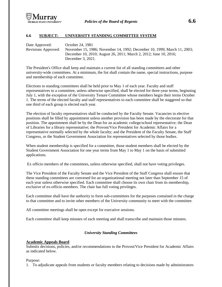

## **6.6 SUBJECT: UNIVERSITY STANDING COMMITTEE SYSTEM**

Date Approved: October 24, 1981 Revisions Approved: November 15, 1986; November 14, 1992; December 10, 1999; March 11, 2003; December 10, 2010; August 26, 2011; March 2, 2012; June 10, 2016; December 3, 2021.

The President's Office shall keep and maintain a current list of all standing committees and other university-wide committees. At a minimum, the list shall contain the name, special instructions, purpose and membership of each committee.

Elections to standing committees shall be held prior to May 1 of each year. Faculty and staff representatives to a committee, unless otherwise specified, shall be elected for three-year terms, beginning July 1, with the exception of the University Tenure Committee whose members begin their terms October 1. The terms of the elected faculty and staff representatives to each committee shall be staggered so that one third of each group is elected each year.

The election of faculty representatives shall be conducted by the Faculty Senate. Vacancies in elective positions shall be filled by appointment unless another provision has been made by the electorate for that position. The appointment shall be by the Dean for an academic college/school representative; the Dean of Libraries for a library representative; the Provost/Vice President for Academic Affairs for a representative normally selected by the whole faculty; and the President of the Faculty Senate, the Staff Congress, or the Student Government Association for representatives selected by those bodies.

When student membership is specified for a committee, those student members shall be elected by the Student Government Association for one year terms from May 1 to May 1 on the basis of submitted applications.

Ex officio members of the committees, unless otherwise specified, shall not have voting privileges.

The Vice President of the Faculty Senate and the Vice President of the Staff Congress shall ensure that these standing committees are convened for an organizational meeting not later than September 15 of each year unless otherwise specified. Each committee shall choose its own chair from its membership, exclusive of ex-officio members. The chair has full voting privileges.

Each committee shall have the authority to form sub-committees for the purposes contained in the charge to that committee and to invite other members of the University community to meet with the committee.

All committee meetings shall be open except for executive sessions.

Each committee shall keep minutes of each meeting and shall transcribe and maintain those minutes.

## *University Standing Committees*

## **Academic Appeals Board**

Submits decisions, policies, and/or recommendations to the Provost/Vice President for Academic Affairs as indicated below.

#### Purpose:

1. To adjudicate appeals from students or faculty members relating to decisions made by administrators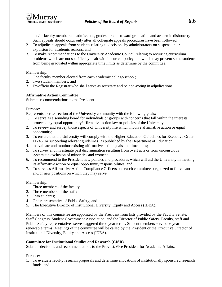and/or faculty members on admissions, grades, credits toward graduation and academic dishonesty Such appeals should occur only after all collegiate appeals procedures have been followed.

- 2. To adjudicate appeals from students relating to decisions by administrators on suspension or expulsion for academic reasons; and
- 3. To make recommendations to the University Academic Council relating to recurring curriculum problems which are not specifically dealt with in current policy and which may prevent some students from being graduated within appropriate time limits as determine by the committee.

Membership:

- 1. One faculty member elected from each academic college/school;
- 2. Two student members; and
- 3. Ex-officio the Registrar who shall serve as secretary and be non-voting in adjudications

# **Affirmative Action Committee**

Submits recommendations to the President.

## Purpose:

Represents a cross section of the University community with the following goals:

- 1. To serve as a sounding board for individuals or groups with concerns that fall within the interests protected by equal opportunity/affirmative action law or policies of the University;
- 2. To review and survey those aspects of University life which involve affirmative action or equal opportunity;
- 3. To ensure that the University will comply with the Higher Education Guidelines for Executive Order 11246 (or succeeding relevant guidelines) as published by the Department of Education;
- 4. to evaluate and monitor existing affirmative action goals and timetables;
- 5. To survey and investigate past discrimination resulting from overt acts or from unconscious systematic exclusion of minorities and women;
- 6. To recommend to the President new policies and procedures which will aid the University in meeting its affirmative action or equal opportunity responsibilities; and
- 7. To serve as Affirmative Action Compliance Officers on search committees organized to fill vacant and/or new positions on which they may serve.

Membership:

- 1. Three members of the faculty,
- 2. Three members of the staff;
- 3. Two students;
- 4. One representative of Public Safety; and
- 5. The Executive Director of Institutional Diversity, Equity and Access (IDEA).

Members of this committee are appointed by the President from lists provided by the Faculty Senate, Staff Congress, Student Government Association, and the Director of Public Safety. Faculty, staff and Public Safety representatives serve staggered three-year terms. Student members serve one-year renewable terms. Meetings of the committee will be called by the President or the Executive Director of Institutional Diversity, Equity and Access (IDEA).

# **Committee for Institutional Studies and Research (CISR)**

Submits decisions and recommendations to the Provost/Vice President for Academic Affairs.

Purpose:

1. To evaluate faculty research proposals and determine allocations of institutionally sponsored research funds; and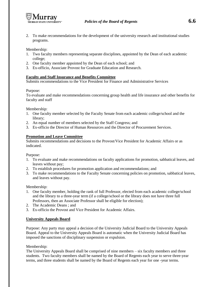

2. To make recommendations for the development of the university research and institutional studies programs.

## Membership:

- 1. Two faculty members representing separate disciplines, appointed by the Dean of each academic college;
- 2. One faculty member appointed by the Dean of each school; and
- 3. Ex-officio, Associate Provost for Graduate Education and Research.

## **Faculty and Staff Insurance and Benefits Committee**

Submits recommendations to the Vice President for Finance and Administrative Services

## Purpose:

To evaluate and make recommendations concerning group health and life insurance and other benefits for faculty and staff

## Membership:

- 1. One faculty member selected by the Faculty Senate from each academic college/school and the library;
- 2. An equal number of members selected by the Staff Congress; and
- 3. Ex-officio the Director of Human Resources and the Director of Procurement Services.

# **Promotion and Leave Committee**

Submits recommendations and decisions to the Provost/Vice President for Academic Affairs or as indicated.

Purpose:

- 1. To evaluate and make recommendations on faculty applications for promotion, sabbatical leaves, and leaves without pay;
- 2. To establish procedures for promotion application and recommendations; and
- 3. To make recommendations to the Faculty Senate concerning policies on promotion, sabbatical leaves, and leaves without pay.

## Membership:

- 1. One faculty member, holding the rank of full Professor, elected from each academic college/school and the library to a three-year term (if a college/school or the library does not have three full Professors, then an Associate Professor shall be eligible for election);
- 2. The Academic Deans ; and
- 3. Ex-officio the Provost and Vice President for Academic Affairs.

## **University Appeals Board**

Purpose: Any party may appeal a decision of the University Judicial Board to the University Appeals Board. Appeal to the University Appeals Board is automatic when the University Judicial Board has imposed the sanctions of disciplinary suspension or expulsion.

## Membership:

The University Appeals Board shall be comprised of nine members – six faculty members and three students. Two faculty members shall be named by the Board of Regents each year to serve three-year terms, and three students shall be named by the Board of Regents each year for one -year terms.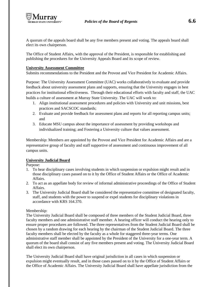A quorum of the appeals board shall be any five members present and voting. The appeals board shall elect its own chairperson.

The Office of Student Affairs, with the approval of the President, is responsible for establishing and publishing the procedures for the University Appeals Board and its scope of review.

# **University Assessment Committee**

Submits recommendations to the President and the Provost and Vice President for Academic Affairs.

Purpose: The University Assessment Committee (UAC) works collaboratively to evaluate and provide feedback about university assessment plans and supports, ensuring that the University engages in best practices for institutional effectiveness. Through their educational efforts with faculty and staff, the UAC builds a culture of assessment at Murray State University. The UAC will work to:

- 1. Align institutional assessment procedures and policies with University and unit missions, best practices and SACSCOC standards;
- 2. Evaluate and provide feedback for assessment plans and reports for all reporting campus units; and
- 3. Educate MSU campus about the importance of assessment by providing workshops and individualized training; and Fostering a University culture that values assessment.

Membership: Members are appointed by the Provost and Vice President for Academic Affairs and are a representative group of faculty and staff supportive of assessment and continuous improvement of all campus units.

# **University Judicial Board**

Purpose:

- 1. To hear disciplinary cases involving students in which suspension or expulsion might result and in those disciplinary cases passed on to it by the Office of Student Affairs or the Office of Academic Affairs.
- 2. To act as an appellate body for review of informal administrative proceedings of the Office of Student Affairs.
- 3. The University Judicial Board shall be considered the representative committee of designated faculty, staff, and students with the power to suspend or expel students for disciplinary violations in accordance with KRS 164.370.

# Membership:

The University Judicial Board shall be composed of three members of the Student Judicial Board, three faculty members and one administrative staff member. A hearing officer will conduct the hearing only to ensure proper procedures are followed. The three representatives from the Student Judicial Board shall be chosen by a random drawing for each hearing by the chairman of the Student Judicial Board. The three faculty members shall be elected by the faculty as a whole for staggered three-year terms. One administrative staff member shall be appointed by the President of the University for a one-year term. A quorum of the board shall consist of any five members present and voting. The University Judicial Board shall elect its own chairperson.

The University Judicial Board shall have original jurisdiction in all cases in which suspension or expulsion might eventually result, and in those cases passed on to it by the Office of Student Affairs or the Office of Academic Affairs. The University Judicial Board shall have appellate jurisdiction from the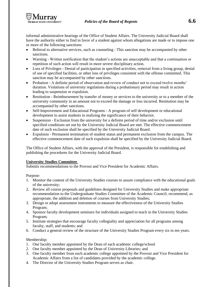

informal administrative hearings of the Office of Student Affairs. The University Judicial Board shall have the authority either to find in favor of a student against whom allegations are made or to impose one or more of the following sanctions:

- Referral to alternative services, such as counseling This sanction may be accompanied by other sanctions.
- Warning Written notification that the student's actions are unacceptable and that a continuation or repetition of such action will result in more severe disciplinary action.
- Loss of Privileges Denial of participation in specified activities, removal from a living group, denial of use of specified facilities, or other loss of privileges consistent with the offense committed. This sanction may be accompanied by other sanctions.
- Probation A definite period of observation and review of conduct not to exceed twelve months' duration. Violations of university regulations during a probationary period may result in action leading to suspension or expulsion.
- Restitution Reimbursement by transfer of money or services to the university or to a member of the university community in an amount not to exceed the damage or loss incurred. Restitution may be accompanied by other sanctions.
- Self-Improvement and Educational Programs A program of self development or educational development to assist students in realizing the significance of their behavior.
- Suspension Exclusion from the university for a definite period of time and/or exclusion until specified conditions set out by the University Judicial Board are met. The effective commencement date of such exclusion shall be specified by the University Judicial Board.
- Expulsion Permanent termination of student status and permanent exclusion from the campus. The effective commencement date of such expulsion shall be specified by the University Judicial Board.

The Office of Student Affairs, with the approval of the President, is responsible for establishing and publishing the procedures for the University Judicial Board.

# **University Studies Committee**

Submits recommendations to the Provost and Vice President for Academic Affairs.

Purpose:

- 1. Monitor the content of the University Studies courses to assure compliance with the educational goals of the university;
- 2. Review all course proposals and guidelines designed for University Studies and make appropriate recommendation to the Undergraduate Studies Committee of the Academic Council; recommend, as appropriate, the addition and deletion of courses from University Studies;
- 3. Design or adopt assessment instruments to measure the effectiveness of the University Studies Program;
- 4. Sponsor faculty development seminars for individuals assigned to teach in the University Studies Program;
- 5. Institute strategies that encourage faculty collegiality and appreciation for all programs among faculty, staff, and students; and
- 6. Conduct a general review of the structure of the University Studies Program every six to ten years.

Membership:

- 1. One faculty member appointed by the Dean of each academic college/school
- 2. One faculty member appointed by the Dean of University Libraries; and
- 3. One faculty member from each academic college appointed by the Provost and Vice President for Academic Affairs from a list of candidates provided by the academic college.
- 4. The Director of the University Studies Program serves as chair.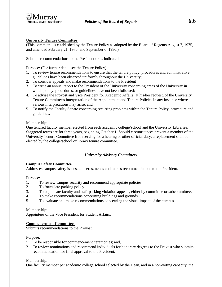

# **University Tenure Committee**

(This committee is established by the Tenure Policy as adopted by the Board of Regents August 7, 1975, and amended February 21, 1976, and September 6, 1980.)

Submits recommendations to the President or as indicated.

Purpose: (For further detail see the Tenure Policy)

- 1. To review tenure recommendations to ensure that the tenure policy, procedures and administrative guidelines have been observed uniformly throughout the University;
- 2. To consider appeals and make recommendations to the President
- 3. To write an annual report to the President of the University concerning areas of the University in which policy. procedures, or guidelines have not been followed;
- 4. To advise the Provost and Vice President for Academic Affairs, at his/her request, of the University Tenure Committee's interpretation of the Appointment and Tenure Policies in any instance where various interpretations may arise; and
- 5. To notify the Faculty Senate concerning recurring problems within the Tenure Policy, procedure and guidelines.

## Membership:

One tenured faculty member elected from each academic college/school and the University Libraries. Staggered terms are for three years, beginning October 1. Should circumstances prevent a member of the University Tenure Committee from serving for a hearing or other official duty, a replacement shall be elected by the college/school or library tenure committee.

# *University Advisory Committees*

## **Campus Safety Committee**

Addresses campus safety issues, concerns, needs and makes recommendations to the President.

## Purpose:

- 1. To review campus security and recommend appropriate policies.
- 2. To formulate parking policy.
- 3. To adjudicate faculty and staff parking violation appeals, either by committee or subcommittee.
- 4. To make recommendations concerning buildings and grounds.
- 5. To evaluate and make recommendations concerning the visual impact of the campus.

## Membership:

Appointees of the Vice President for Student Affairs.

## **Commencement Committee**

Submits recommendations to the Provost.

## Purpose:

- 1. To be responsible for commencement ceremonies; and,
- 2. To review nominations and recommend individuals for honorary degrees to the Provost who submits recommendation for final approval to the President.

## Membership:

One faculty member per academic college/school selected by the Dean, and in a non-voting capacity, the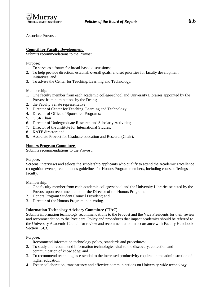

## **Council for Faculty Development**

Submits recommendations to the Provost.

Purpose:

- 1. To serve as a forum for broad-based discussions;
- 2. To help provide direction, establish overall goals, and set priorities for faculty development initiatives; and
- 3. To advise the Center for Teaching, Learning and Technology.

Membership:

- 1. One faculty member from each academic college/school and University Libraries appointed by the Provost from nominations by the Deans;
- 2. the Faculty Senate representative;
- 3. Director of Center for Teaching, Learning and Technology;
- 4. Director of Office of Sponsored Programs;
- 5. CISR Chair;
- 6. Director of Undergraduate Research and Scholarly Activities;
- 7. Director of the Institute for International Studies;
- 8. KATE director; and
- 9. Associate Provost for Graduate education and Research(Chair).

## **Honors Program Committee**

Submits recommendations to the Provost.

Purpose:

Screens, interviews and selects the scholarship applicants who qualify to attend the Academic Excellence recognition events; recommends guidelines for Honors Program members, including course offerings and faculty.

Membership:

- 1. One faculty member from each academic college/school and the University Libraries selected by the Provost upon recommendation of the Director of the Honors Program;
- 2. Honors Program Student Council President; and
- 3. Director of the Honors Program, non-voting.

## **Information Technology Advisory Committee (ITAC)**

Submits information technology recommendations to the Provost and the Vice Presidents for their review and recommendation to the President. Policy and procedures that impact academics should be referred to the University Academic Council for review and recommendation in accordance with Faculty Handbook Section 1.4.3.

Purpose:

- 1. Recommend information technology policy, standards and procedures;
- 2. To study and recommend information technologies vital to the discovery, collection and communication of knowledge; and
- 3. To recommend technologies essential to the increased productivity required in the administration of higher education.
- 4. Foster collaboration, transparency and effective communications on University-wide technology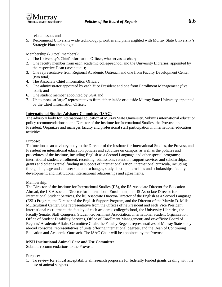

related issues and

5. Recommend University-wide technology priorities and plans alighted with Murray State University's Strategic Plan and budget.

Membership (20 total members):

- 1. The University's Chief Information Officer, who serves as chair;
- 2. One faculty member from each academic college/school and the University Libraries, appointed by the respective Dean (seven total);
- 3. One representative from Regional Academic Outreach and one from Faculty Development Center (two total);
- 4. The Associate Chief Information Officer;
- 5. One administrator appointed by each Vice President and one from Enrollment Management (five total); and
- 6. One student member appointed by SGA and
- 7. Up to three "at large" representatives from either inside or outside Murray State University appointed by the Chief Information Officer.

## **International Studies Advisory Committee (ISAC)**

The advisory body for international education at Murray State University. Submits international education policy recommendations to the Director of the Institute for International Studies, the Provost, and President. Organizes and manages faculty and professional staff participation in international education activities.

## Purpose:

To function as an advisory body to the Director of the Institute for International Studies, the Provost, and President on international education policies and activities on campus, as well as the policies and procedures of the Institute, including English as a Second Language and other special programs; international student enrollment, recruiting, admissions, retention, support services and scholarships; grants and other external funding in support of internationalization; international curricula, including foreign language and culture; student exchanges, study abroad, internships and scholarships; faculty development; and institutional international relationships and agreements.

## Membership:

The Director of the Institute for International Studies (IIS), the lIS Associate Director for Education Abroad, the IIS Associate Director for International Enrollment, the IIS Associate Director for International Student Services, the liS Associate Director/Director of the English as a Second Language (ESL) Program, the Director of the English Support Program, and the Director of the Marvin D. Mills Multicultural Center. One representative from the Offices ofthe President and each Vice President, international recruitment, the faculty of each academic college/school, the University Libraries, the Faculty Senate, Staff Congress, Student Government Association, International Student Organization, Office of Student Disability Services, Office of Enrollment Management; and ex-officio: Board of Regents' Academic Affairs Committee Chair, the Faculty Regent, representatives of Murray State study abroad consortia, representatives of units offering international degrees, and the Dean of Continuing Education and Academic Outreach. The ISAC Chair will be appointed by the Provost.

## **MSU Institutional Animal Care and Use Committee**

Submits recommendations to the Provost.

## Purpose:

1. To review for ethical acceptability all research proposals for federally funded grants dealing with the use of animal subjects.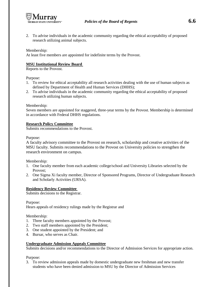

2. To advise individuals in the academic community regarding the ethical acceptability of proposed research utilizing animal subjects.

## Membership:

At least five members are appointed for indefinite terms by the Provost.

#### **MSU Institutional Review Board**

Reports to the Provost.

Purpose:

- 1. To review for ethical acceptability all research activities dealing with the use of human subjects as defined by Department of Health and Human Services (DHHS);
- 2. To advise individuals in the academic community regarding the ethical acceptability of proposed research utilizing human subjects.

#### Membership:

Seven members are appointed for staggered, three-year terms by the Provost. Membership is determined in accordance with Federal DHHS regulations.

#### **Research Policy Committee**

Submits recommendations to the Provost.

#### Purpose:

A faculty advisory committee to the Provost on research, scholarship and creative activities of the MSU faculty. Submits recommendations to the Provost on University policies to strengthen the research environment on campus.

#### Membership:

- 1. One faculty member from each academic college/school and University Libraries selected by the Provost;
- 2. One Sigma Xi faculty member, Director of Sponsored Programs, Director of Undergraduate Research and Scholarly Activities (URSA).

#### **Residency Review Committee**

Submits decisions to the Registrar.

Purpose:

Hears appeals of residency rulings made by the Registrar and

#### Membership:

- 1. Three faculty members appointed by the Provost;
- 2. Two staff members appointed by the President;
- 3. One student appointed by the President; and
- 4. Bursar, who serves as Chair.

## **Undergraduate Admission Appeals Committee**

Submits decisions and/or recommendations to the Director of Admission Services for appropriate action.

Purpose:

3. To review admission appeals made by domestic undergraduate new freshman and new transfer students who have been denied admission to MSU by the Director of Admission Services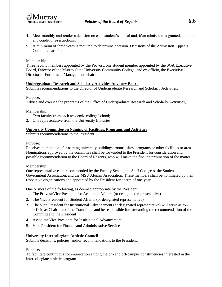

- 4. Meet monthly and render a decision on each student's appeal and, if an admission is granted, stipulate any conditions/restrictions.
- 5. A minimum of three votes is required to determine decision. Decisions of the Admission Appeals Committee are final.

Membership:

Three faculty members appointed by the Provost, one student member appointed by the SGA Executive Board, Director of the Murray State University Community College, and ex-officio, the Executive Director of Enrollment Management, chair.

## **Undergraduate Research and Scholarly Activities Advisory Board**

Submits recommendations to the Director of Undergraduate Research and Scholarly Activities.

Purpose:

Advise and oversee the programs of the Office of Undergraduate Research and Scholarly Activities,

Membership:

- 1. Two faculty from each academic college/school;
- 2. One representative from the University Libraries.

## **University Committee on Naming of Facilities, Programs and Activities**

Submits recommendations to the President.

#### Purpose:

Receives nominations for naming university buildings, rooms, sites, programs or other facilities or areas. Nominations approved by the committee shall be forwarded to the President for consideration and possible recommendation to the Board of Regents, who will make the final determination of the matter.

#### Membership:

One representative each recommended by the Faculty Senate, the Staff Congress, the Student Government Association, and the MSU Alumni Association. These members shall be nominated by their respective organizations and appointed by the President for a term of one year;

One or more of the following, as deemed appropriate by the President:

- 1. The Provost/Vice President for Academic Affairs, (or designated representative)
- 2. The Vice President for Student Affairs, (or designated representative)
- 3. The Vice President for Institutional Advancement (or designated representative) will serve as exofficio as Chairman of the Committee and be responsible for forwarding the recommendation of the Committee to the President
- 4. Associate Vice President for Institutional Advancement
- 5. Vice President for Finance and Administrative Services.

## **University Intercollegiate Athletic Council**

Submits decisions, policies, and/or recommendations to the President.

Purpose:

To facilitate continuous communication among the on- and off-campus constituencies interested in the intercollegiate athletic program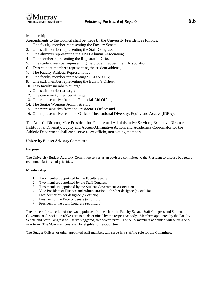

# Membership:

Appointments to the Council shall be made by the University President as follows:

- 1. One faculty member representing the Faculty Senate;
- 2. One staff member representing the Staff Congress;
- 3. One alumnus representing the MSU Alumni Association;
- 4. One member representing the Registrar's Office;
- 5. One student member representing the Student Government Association;
- 6. Two student members representing the student athletes;
- 7. The Faculty Athletic Representative;
- 8. One faculty member representing SSLD or SSS;
- 9. One staff member representing the Bursar's Office;
- 10. Two faculty members at large;
- 11. One staff member at large;
- 12. One community member at large;
- 13. One representative from the Financial Aid Office;
- 14. The Senior Womens Administrator;
- 15. One representative from the President's Office; and
- 16. One representative from the Office of Institutional Diversity, Equity and Access (IDEA).

The Athletic Director, Vice President for Finance and Administrative Services; Executive Director of Institutional Diversity, Equity and Access/Affirmative Action; and Academics Coordinator for the Athletic Department shall each serve as ex-officio, non-voting members.

#### **University Budget Advisory Committee**

#### **Purpose:**

The University Budget Advisory Committee serves as an advisory committee to the President to discuss budgetary recommendations and priorities.

#### **Membership:**

- 1. Two members appointed by the Faculty Senate.
- 2. Two members appointed by the Staff Congress.
- 3. Two members appointed by the Student Government Association.
- 4. Vice President of Finance and Administration or his/her designee (ex officio).
- 5. President or his/her designee (ex officio).
- 6. President of the Faculty Senate (ex officio).
- 7. President of the Staff Congress (ex officio).

The process for selection of the two appointees from each of the Faculty Senate, Staff Congress and Student Government Association (SGA) are to be determined by the respective body. Members appointed by the Faculty Senate and Staff Congress will serve staggered, three-year terms. The SGA members appointed will serve a oneyear term. The SGA members shall be eligible for reappointment.

The Budget Officer, or other appointed staff member, will serve in a staffing role for the Committee.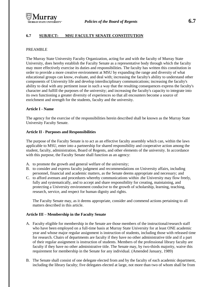# **6.7 SUBJECT: MSU FACULTY SENATE CONSTITUTION**

#### PREAMBLE

The Murray State University Faculty Organization, acting for and with the faculty of Murray State University, does hereby establish the Faculty Senate as a representative body through which the faculty may more effectively exercise its duties and responsibilities. The faculty has written this constitution in order to provide a more creative environment at MSU by expanding the range and diversity of what educational groups can know, evaluate, and deal with; increasing the faculty's ability to understand other components of University life and develop interdisciplinary communications; increasing the faculty's ability to deal with any pertinent issue in such a way that the resulting consequences express the faculty's character and fulfill the purposes of the university; and increasing the faculty's capacity to integrate into its own functioning a greater diversity of experiences so that all encounters become a source of enrichment and strength for the students, faculty and the university.

#### **Article I - Name**

The agency for the exercise of the responsibilities herein described shall be known as the Murray State University Faculty Senate.

#### **Article II - Purposes and Responsibilities**

The purpose of the Faculty Senate is to act as an effective faculty assembly which can, within the laws applicable to MSU, enter into a partnership for shared responsibility and cooperative action among the student, faculty, administration, Board of Regents, and other elements of the university. In accordance with this purpose, the Faculty Senate shall function as an agency:

- A. to promote the growth and general welfare of the university;
- B. to consider and express faculty judgment and recommendations on University affairs, including personnel, financial and academic matters, as the Senate deems appropriate and necessary; and
- C. to afford avenues and procedures whereby communications within .the University may flow freely, fully and systematically, and to accept and share responsibility for creating, maintaining, and protecting a University environment conducive to the growth of scholarship, learning, teaching, research, service, and respect for human dignity and rights.

The Faculty Senate may, as it deems appropriate, consider and commend actions pertaining to all matters described in this article.

## **Article III – Membership in the Faculty Senate**

- A. Faculty eligible for membership in the Senate are those members of the instructional/research staff who have been employed on a full-time basis at Murray State University for at least ONE academic year and whose major regular assignment is instruction of students, including those with released time for research. Chairs of departments are faculty if they have no other administrative title and if a part of their regular assignment is instruction of students. Members of the professional library faculty are faculty if they have no other administrative title. The Senate may, by two-thirds majority, waive this requirement for membership in the Senate for any individual. (Amended January, 1989)
- B. The Senate shall consist of one delegate elected from and by the faculty of each academic department, including the library faculty; five delegates elected at large, not more than two of whom shall be from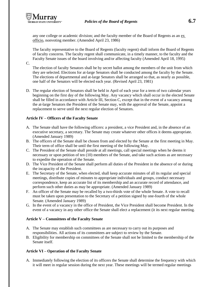any one college or academic division; and the faculty member of the Board of Regents as an ex officio, nonvoting member. (Amended April 23, 1986)

The faculty representative to the Board of Regents (faculty regent) shall inform the Board of Regents of faculty concerns. The faculty regent shall communicate, in a timely manner, to the faculty and the Faculty Senate issues of the board involving and/or affecting faculty (Amended April 18, 1995)

C.

The election of faculty Senators shall be by secret ballot among the members of the unit from which they are selected. Elections for at-large Senators shall be conducted among the faculty by the Senate. The elections of departmental and at-large Senators shall be arranged so that, as nearly as possible, one half of the Senators will be elected each year. (Revised April 23, 1981)

D. The regular election of Senators shall be held in April of each year for a term of two calendar years beginning on the first day of the following May. Any vacancy which shall occur in the elected Senate shall be filled in accordance with Article III, Section C, except that in the event of a vacancy among the at-large Senators the President of the Senate may, with the approval of the Senate, appoint a replacement to serve until the next regular election of Senators.

# **Article IV – Officers of the Faculty Senate**

- A. The Senate shall have the following officers: a president, a vice President and, in the absence of an executive secretary, a secretary. The Senate may create whatever other offices it deems appropriate. (Amended January 1989)
- B. The officers of the Senate shall be chosen from and elected by the Senate at the first meeting in May. Their term of office shall be until the first meeting of the following May.
- C. The President of the Senate shall preside at all meetings, call special meetings when he deems it necessary or upon petition of ten (10) members of the Senate, and take such actions as are necessary to expedite the operation of the Senate.
- D. The Vice President of the Senate shall perform all duties of the President in the absence of or during the incapacity of the President.
- E. The Secretary of the Senate, when elected, shall keep accurate minutes of all its regular and special meetings, distribute copies of minutes to appropriate individuals and groups, conduct necessary correspondence, keep an accurate list of its membership and an accurate record of attendance, and perform such other duties as may be appropriate. (Amended January 1989)
- F. An officer of the Senate may be recalled by a two-thirds vote of the whole Senate. A vote to recall must be taken upon presentation to the Secretary of a petition signed by one-fourth of the whole Senate. (Amended January 1989)
- G. In the event of a vacancy in the office of President, the Vice President shall become President. In the event of a vacancy in any other office the Senate shall elect a replacement (it its next regular meeting.

# **Article V – Committees of the Faculty Senate**

- A. The Senate may establish such committees as are necessary to carry out its purposes and responsibilities. All actions of its committees are subject to review by the Senate.
- B. Eligibility for membership on committees of the Senate shall not be limited to the membership of the Senate itself.

# **Article VI – Operation of the Faculty Senate**

A. Immediately following the election of its officers the Senate shall determine the frequency with which it will meet in regular session during the next year. These meetings will be termed regular meetings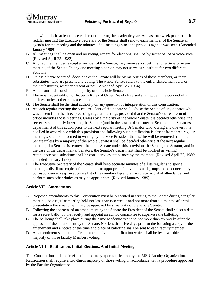and will be held at least once each month during the academic year. At least one week prior to each regular meeting the Executive Secretary of the Senate shall send to each member of the Senate an agenda for the meeting and the minutes of all meetings since the previous agenda was sent. (Amended January 1989)

- B. All meetings shall be open and no voting, except for elections, shall be by secret ballot or voice vote. (Revised April 23, 1982)
- C. Any faculty member, except a member of the Senate, may serve as a substitute for a Senator in any meeting of the Senate. In any one meeting a person may not serve as substitute for two different Senators.
- D. Unless otherwise stated, decisions of the Senate will be by majorities of those members, or their substitutes, who are present and voting. The whole Senate refers to the enfranchised members, or their substitutes, whether present or not. (Amended April 25, 1984)
- E. A quorum shall consist of a majority of the whole Senate.
- F. The most recent edition of Robert's Rules of Order, Newly Revised shall govern the conduct of all business unless other rules are adopted.
- G. The Senate shall be the final authority on any question of interpretation of this Constitution.
- H. At each regular meeting the Vice President of the Senate shall advise the Senate of any Senator who was absent from the three preceding regular meetings provided that the Senator's current term of office includes those meetings. Unless by a majority of the whole Senate it is decided otherwise, the secretary shall notify in writing the Senator (and in the case of departmental Senators, the Senator's department) of this action prior to the next regular meeting. A Senator who, during any one term, is notified in accordance with this provision and following such notification is absent from three regular meetings, shall be informed in writing by the Vice President that he/she will be removed from the Senate unless by a majority of the whole Senate it shall be decided otherwise at the next regular meeting. If a Senator is removed from the Senate under this provision, the Senate, the Senator, and in the case of the departmental Senators, the Senator's department shall be notified in writing. Attendance by a substitute shall be considered as attendance by the member. (Revised April 22, 1980; amended January 1989)
- I. The Executive Secretary of the Senate shall keep accurate minutes of all its regular and special meetings, distribute copies of the minutes to appropriate individuals and groups, conduct necessary correspondence, keep an accurate list of its membership and an accurate record of attendance, and perform such other duties as may be appropriate. (Revised January 1989)

## **Article VII - Amendments**

- A. Proposed amendments to this Constitution must be presented in writing to the Senate during a regular meeting. At a regular meeting held not less than two weeks and not more than six months after this presentation the amendment may be approved by a majority of the whole Senate.
- B. Following the approval of an amendment by the Senate the President of the Senate shall select a date for a secret ballot by the faculty and appoint an ad hoc committee to supervise the balloting.
- C. The balloting shall take place during the same academic year and not more than six weeks after the approval of the amendment by the Senate. Not less than five days prior to the balloting a copy of the amendment and a notice of the time and place of balloting shall be sent to each faculty member.
- D. An amendment shall be in effect immediately upon ratification which shall be by a two-thirds majority of those faculty Members voting.

## **Article VIII - Ratification, Initial Elections, And Initial Meeting**

This Constitution shall be in effect immediately upon ratification by the MSU Faculty Organization. Ratification shall require a two-thirds majority of those voting, in accordance with a procedure approved by the Faculty Organization.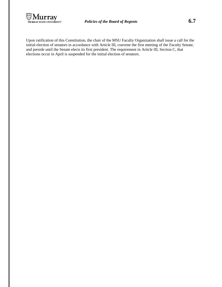

Upon ratification of this Constitution, the chair of the MSU Faculty Organization shall issue a call for the initial election of senators in accordance with Article III, convene the first meeting of the Faculty Senate, and preside until the Senate elects its first president. The requirement in Article III, Section C, that elections occur in April is suspended for the initial election of senators.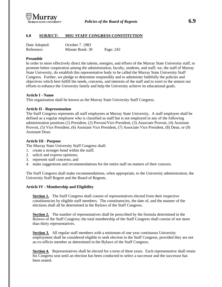

# **6.8 SUBJECT: MSU STAFF CONGRESS CONSTITUTION**

| Date Adopted: | October 7. 1983 |           |
|---------------|-----------------|-----------|
| Reference:    | Minute Book: 30 | Page: 243 |

#### **Preamble**

In order to more effectively direct the talents, energies, and efforts of the Murray State University staff, to promote better cooperation among the administration, faculty, students, and staff; we, the staff of Murray State University, do establish this representative body to be called the Murray State University Staff Congress. Further, we pledge to determine responsibly and to administer faithfully the policies and objectives which best fulfill the needs, concerns, and interests of the staff and to exert to the utmost our efforts to enhance the University family and help the University achieve its educational goals.

#### **Article I - Name**

This organization shall be known as the Murray State University Staff Congress.

#### **Article II - Representation**

The Staff Congress represents all staff employees at Murray State University. A staff employee shall be defined as a regular employee who is classified as staff but is not employed in any of the following administration positions (1) President, (2) Provost/Vice President, (3) Associate Provost, (4) Assistant Provost, (5) Vice President, (6) Assistant Vice President, (7) Associate Vice President, (8) Dean, or (9) Assistant Dean.

#### **Article III - Purpose**

The Murray State University Staff Congress shall:

- 1. create a stronger bond within the staff;
- 2. solicit and express opinions;
- 3. represent staff concerns; and
- 4. make suggestions and recommendations for the entire staff on matters of their concern.

The Staff Congress shall make recommendations, when appropriate, to the University administration, the University Staff Regent and the Board of Regents.

## **Article IV - Membership and Eligibility**

**Section 1.** The Staff Congress shall consist of representatives elected from their respective constituencies by eligible staff members. The constituencies, the date of, and the manner of the elections shall all be determined in the Bylaws of the Staff Congress.

**Section 2.** The number of representatives shall be prescribed by the formula determined in the Bylaws of the Staff Congress; the total membership of the Staff Congress shall consist of not more than thirty representatives.

**Section 3.** All regular staff members with a minimum of one year continuous University employment shall be considered eligible to seek election to the Staff Congress, provided they are not an ex-officio member as determined in the Bylaws of the Staff Congress.

**Section 4.** Representatives shall be elected for a term of three years. Each representative shall retain his Congress seat until an election has been conducted to select a successor and the successor has been seated.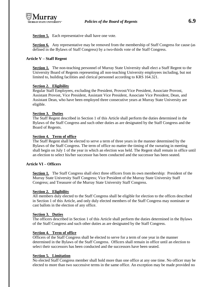

**Section 5.** Each representative shall have one vote.

**Section 6.** Any representative may be removed from the membership of Staff Congress for cause (as defined in the Bylaws of Staff Congress) by a two-thirds vote of the Staff Congress.

# **Article V – Staff Regent**

**Section 1.** The non-teaching personnel of Murray State University shall elect a Staff Regent to the University Board of Regents representing all non-teaching University employees including, but not limited to, building facilities and clerical personnel according to KRS 164.321.

# **Section 2. Eligibility**

Regular Staff Employees, excluding the President, Provost/Vice President, Associate Provost, Assistant Provost, Vice President, Assistant Vice President, Associate Vice President, Dean, and Assistant Dean, who have been employed three consecutive years at Murray State University are eligible.

# **Section 3. Duties**

The Staff Regent described in Section 1 of this Article shall perform the duties determined in the Bylaws of the Staff Congress and such other duties as are designated by the Staff Congress and the Board of Regents.

# **Section 4. Term of office**

The Staff Regent shall be elected to serve a term of three years in the manner determined by the Bylaws of the Staff Congress. The term of office no matter the timing of the swearing in meeting shall begin on July 1 of the year in which an election was held. The Regent shall remain in office until an election to select his/her successor has been conducted and the successor has been seated.

## **Article VI – Officers**

**Section 1.** The Staff Congress shall elect three officers from its own membership: President of the Murray State University Staff Congress; Vice President of the Murray State University Staff Congress; and Treasurer of the Murray State University Staff Congress.

## **Section 2. Eligibility**

All members duly elected to the Staff Congress shall be eligible for election to the offices described in Section 1 of this Article, and only duly elected members of the Staff Congress may nominate or cast ballots in the election of any office.

## **Section 3. Duties**

The officers described in Section 1 of this Article shall perform the duties determined in the Bylaws of the Staff Congress and such other duties as are designated by the Staff Congress.

# **Section 4. Term of office**

Officers of the Staff Congress shall be elected to serve for a term of one year in the manner determined in the Bylaws of the Staff Congress. Officers shall remain in office until an election to select their successors has been conducted and the successors have been seated.

# **Section 5. Limitation**

No elected Staff Congress member shall hold more than one office at any one time. No officer may be elected to more than two successive terms in the same office. An exception may be made provided no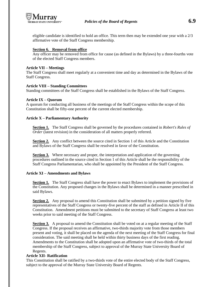

eligible candidate is identified to hold an office. This term then may be extended one year with a 2/3 affirmative vote of the Staff Congress membership.

## **Section 6. Removal from office**

Any officer may be removed from office for cause (as defined in the Bylaws) by a three-fourths vote of the elected Staff Congress members.

## **Article VII – Meetings**

The Staff Congress shall meet regularly at a convenient time and day as determined in the Bylaws of the Staff Congress.

## **Article VIII – Standing Committees**

Standing committees of the Staff Congress shall be established in the Bylaws of the Staff Congress.

## **Article IX – Quorum**

A quorum for conducting all business of the meetings of the Staff Congress within the scope of this Constitution shall be fifty-one percent of the current elected membership.

## **Article X – Parliamentary Authority**

**Section 1.** The Staff Congress shall be governed by the procedures contained in *Robert's Rules of Order* (latest revision) in the consideration of all matters properly referred.

**Section 2.** Any conflict between the source cited in Section 1 of this Article and the Constitution and Bylaws of the Staff Congress shall be resolved in favor of the Constitution.

**Section 3.** Where necessary and proper, the interpretation and application of the governing procedures outlined in the source cited in Section 1 of this Article shall be the responsibility of the Staff Congress Parliamentarian, who shall be appointed by the President of the Staff Congress.

## **Article XI – Amendments and Bylaws**

**Section 1.** The Staff Congress shall have the power to enact Bylaws to implement the provisions of the Constitution. Any proposed changes in the Bylaws shall be determined in a manner prescribed in said Bylaws.

**Section 2.** Any proposal to amend this Constitution shall be submitted by a petition signed by five representatives of the Staff Congress or twenty-five percent of the staff as defined in Article II of this Constitution. Amendment petitions must be submitted to the secretary of Staff Congress at least two weeks prior to said meeting of the Staff Congress.

**Section 3.** A proposal to amend the Constitution shall be voted on at a regular meeting of the Staff Congress. If the proposal receives an affirmative, two-thirds majority vote from those members present and voting, it shall be placed on the agenda of the next meeting of the Staff Congress for final consideration. The said meeting shall be held within thirty business days of the first reading. Amendments to the Constitution shall be adopted upon an affirmative vote of two-thirds of the total membership of the Staff Congress, subject to approval of the Murray State University Board of Regents.

## **Article XII- Ratification**

This Constitution shall be ratified by a two-thirds vote of the entire elected body of the Staff Congress, subject to the approval of the Murray State University Board of Regents.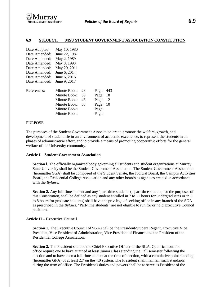

#### **6.9 SUBJECT: MSU STUDENT GOVERNMENT ASSOCIATION CONSTITUTION**

| Date Adopted: | May 10, 1980  |    |           |    |
|---------------|---------------|----|-----------|----|
| Date Amended: | June 22, 1987 |    |           |    |
| Date Amended: | May 2, 1989   |    |           |    |
| Date Amended: | May 8, 1993   |    |           |    |
| Date Amended: | May 20, 2011  |    |           |    |
| Date Amended: | June 6, 2014  |    |           |    |
| Date Amended: | June 6, 2016  |    |           |    |
| Date Amended: | June 9, 2017  |    |           |    |
| References:   | Minute Book:  | 23 | Page: 443 |    |
|               | Minute Book:  | 38 | Page: 18  |    |
|               | Minute Book:  | 43 | Page: 12  |    |
|               | Minute Book:  | 55 | Page:     | 10 |
|               | Minute Book:  |    | Page:     |    |
|               | Minute Book:  |    | Page:     |    |
|               |               |    |           |    |

#### PURPOSE:

The purposes of the Student Government Association are to promote the welfare, growth, and development of student life in an environment of academic excellence, to represent the students in all phases of administrative effort, and to provide a means of promoting cooperative efforts for the general welfare of the University community.

#### **Article I – Student Government Association**

**Section I.** The officially organized body governing all students and student organizations at Murray State University shall be the Student Government Association. The Student Government Association (hereinafter SGA) shall be composed of the Student Senate, the Judicial Board, the Campus Activities Board, the Residential College Association and any other boards as agencies created in accordance with the *Bylaws*.

**Section 2.** Any full-time student and any "part-time student" (a part-time student, for the purposes of this Constitution, shall be defined as any student enrolled in 7 to 11 hours for undergraduates or in 5 to 8 hours for graduate students) shall have the privilege of seeking office in any branch of the SGA as prescribed in the *Bylaws*. "Part-time students" are not eligible to run for or hold Executive Council positions.

#### **Article II – Executive Council**

**Section 1.** The Executive Council of SGA shall be the President/Student Regent, Executive Vice President, Vice President of Administration, Vice President of Finance and the President of the Residential College Association.

**Section 2.** The President shall be the Chief Executive Officer of the SGA. Qualifications for office require one to have attained at least Junior Class standing the Fall semester following the election and to have been a full-time student at the time of election, with a cumulative point standing (hereinafter GPA) of at least 2.7 on the 4.0 system. The President shall maintain such standards during the term of office. The President's duties and powers shall be to serve as President of the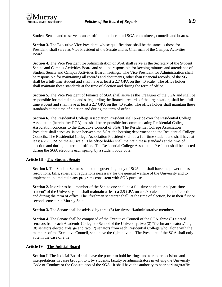Student Senate and to serve as an ex-officio member of all SGA committees, councils and boards.

**Section 3.** The Executive Vice President, whose qualifications shall be the same as those for President, shall serve as Vice President of the Senate and as Chairman of the Campus Activities Board.

**Section 4.** The Vice President for Administration of SGA shall serve as the Secretary of the Student Senate and Campus Activities Board and shall be responsible for keeping minutes and attendance of Student Senate and Campus Activities Board meetings. The Vice President for Administration shall be responsible for maintaining all records and documents, other than financial records, of the SG shall be a full-time student and shall have at least a 2.7 GPA on the 4.0 scale. The office holder shall maintain these standards at the time of election and during the term of office.

**Section 5.** The Vice President of Finance of SGA shall serve as the Treasurer of the SGA and shall be responsible for maintaining and safeguarding the financial records of the organization, shall be a fulltime student and shall have at least a 2.7 GPA on the 4.0 scale. The office holder shall maintain these standards at the time of election and during the term of office.

**Section 6.** The Residential College Association President shall preside over the Residential College Association (hereinafter RCA) and shall be responsible for communicating Residential College Association concerns to the Executive Council of SGA. The Residential College Association President shall serve as liaison between the SGA, the housing department and the Residential College Councils. The Residential College Association President shall be a full-time student and shall have at least a 2.7 GPA on the 4.0 scale. The office holder shall maintain these standards at the time of election and during the term of office. The Residential College Association President shall be elected during the SGA elections each spring, by a student body vote.

# **Article III - The Student Senate**

**Section I.** The Student Senate shall be the governing body of SGA and shall have the power to pass resolutions, bills, rules, and regulations necessary for the general welfare of the University and to implement and maintain any programs consistent with SGA purposes.

**Section 2.** In order to be a member of the Senate one shall be a full-time student or a "part-time" student" of the University and shall maintain at least a 2.5 GPA on a 4.0 scale at the time of election and during the term of office. The "freshman senators" shall, at the time of election, be in their first or second semester at Murray State.

**Section 3.** The Senate shall be advised by three (3) faculty/staff/administrative members.

**Section 4.** The Senate shall be composed of the Executive Council of the SGA, three (3) elected senators from each Academic College or School of the University, two (2) "freshman senators," eight (8) senators elected at-large and two (2) senators from each Residential College who, along with the members of the Executive Council, shall have the right to vote. The President of the SGA shall only vote in the case of a tie.

## **Article IV – The Judicial Board**

**Section I**. The Judicial Board shall have the power to hold hearings and to render decisions and interpretations in cases brought to it by students, faculty or administrators involving the University Code of Conduct or the Constitution of the SGA. It shall have the authority to hear parking/traffic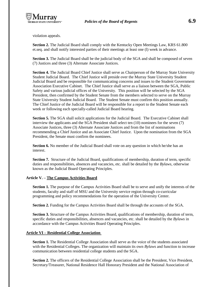

violation appeals.

**Section 2.** The Judicial Board shall comply with the Kentucky Open Meetings Law, KRS 61.800 et.seq. and shall notify interested parties of their meetings at least one (l) week in advance.

**Section 3.** The Judicial Board shall be the judicial body of the SGA and shall be composed of seven (7) Justices and three (3) Alternate Associate Justices.

**Section 4.** The Judicial Board Chief Justice shall serve as Chairperson of the Murray State University Student Judicial Board. The Chief Justice will preside over the Murray State University Student Judicial Board and be responsible for communicating concerns and issues to the Student Government Association Executive Cabinet. The Chief Justice shall serve as a liaison between the SGA, Public Safety and various judicial offices of the University. This position will be selected by the SGA President, then confirmed by the Student Senate from the members selected to serve on the Murray State University Student Judicial Board. The Student Senate must confirm this position annually. The Chief Justice of the Judicial Board will be responsible for a report to the Student Senate each week or following each specially-called Judicial Board hearing.

**Section 5.** The SGA shall solicit applications for the Judicial Board. The Executive Cabinet shall interview the applicants and the SGA President shall select ten (10) nominees for the seven (7) Associate Justices, three (3) Alternate Associate Justices and from the list of nominations recommending a Chief Justice and an Associate Chief Justice. Upon the nomination from the SGA President, the Senate must confirm the nominees.

**Section 6.** No member of the Judicial Board shall vote on any question in which he/she has an interest.

**Section 7.** Structure of the Judicial Board, qualifications of membership, duration of term, specific duties and responsibilities, absences and vacancies, etc. shall be detailed by the *Bylaws*, otherwise known as the Judicial Board Operating Principles.

#### **Article V. – The Campus Activities Board**

**Section 1.** The purpose of the Campus Activities Board shall be to serve and unify the interests of the students, faculty and staff of MSU and the University service region through co-curricular programming and policy recommendations for the operation of the University Center.

**Section 2.** Funding for the Campus Activities Board shall be through the accounts of the SGA.

**Section 3.** Structure of the Campus Activities Board, qualifications of membership, duration of term, specific duties and responsibilities, absences and vacancies, etc. shall be detailed by the *Bylaws* in accordance with the Campus Activities Board Operating Principles.

#### **Article VI – Residential College Association**

**Section 1.** The Residential College Association shall serve as the voice of the students associated with the Residential Colleges. The organization will maintain its own *Bylaws* and function to increase communication between residential college students and the SGA.

**Section 2.** The officers of the Residential College Association shall be the President, Vice President, Secretary/Treasurer, National Residence Hall Honorary President and the National Association of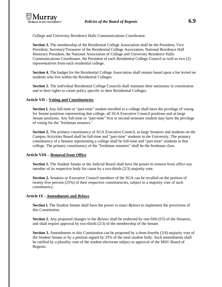College and University Residence Halls Communications Coordinator.

**Section 3.** The membership of the Residential College Association shall be the President, Vice President, Secretary/Treasurer of the Residential College Association, National Residence Hall Honorary President, the National Association of College and University Residence Halls Communications Coordinator, the President of each Residential College Council as well as two (2) representatives from each residential college.

**Section 4.** The budget for the Residential College Association shall remain based upon a fee levied on students who live within the Residential Colleges.

**Section 5.** The individual Residential College Councils shall maintain their autonomy in constitution and in their rights to create policy specific to their Residential Colleges.

## **Article VII – Voting and Constituencies**

**Section I.** Any full-time or "part-time" student enrolled in a college shall have the privilege of voting for Senate positions representing that college, all SGA Executive Council positions and at-large Senate positions. Any full-time or "part-time" first or second semester student may have the privilege of voting for the "freshman senators."

**Section 2.** The primary constituency of SGA Executive Council, at-large Senators and students on the Campus Activities Board shall be full-time and "part-time" students in the University. The primary constituency of a Senator representing a college shall be full-time and "part-time" students in that college. The primary constituency of the "freshman senators" shall be the freshman class.

## **Article VIII – Removal from Office**

**Section 1.** The Student Senate or the Judicial Board shall have the power to remove from office any member of its respective body for cause by a two-thirds (2/3) majority vote.

**Section 2.** Senators or Executive Council members of the SGA can be recalled on the petition of twenty-five percent (25%) of their respective constituencies, subject to a majority vote of such constituency.

## **Article IX - Amendments and** *Bylaws*

**Section l.** The Student Senate shall have the power to enact *Bylaws* to implement the provisions of this Constitution.

**Section 2.** Any proposed changes in the *Bylaws* shall be endorsed by one-fifth (l/5) of the Senators, and shall require approval by two-thirds (2/3) of the membership of the Senate.

**Section 3.** Amendments to this Constitution can be proposed by a three-fourths (3/4) majority vote of the Student Senate or by a petition signed by 25% of the total student body. Such amendments shall be ratified by a plurality vote of the student electorate subject to approval of the MSU Board of Regents.